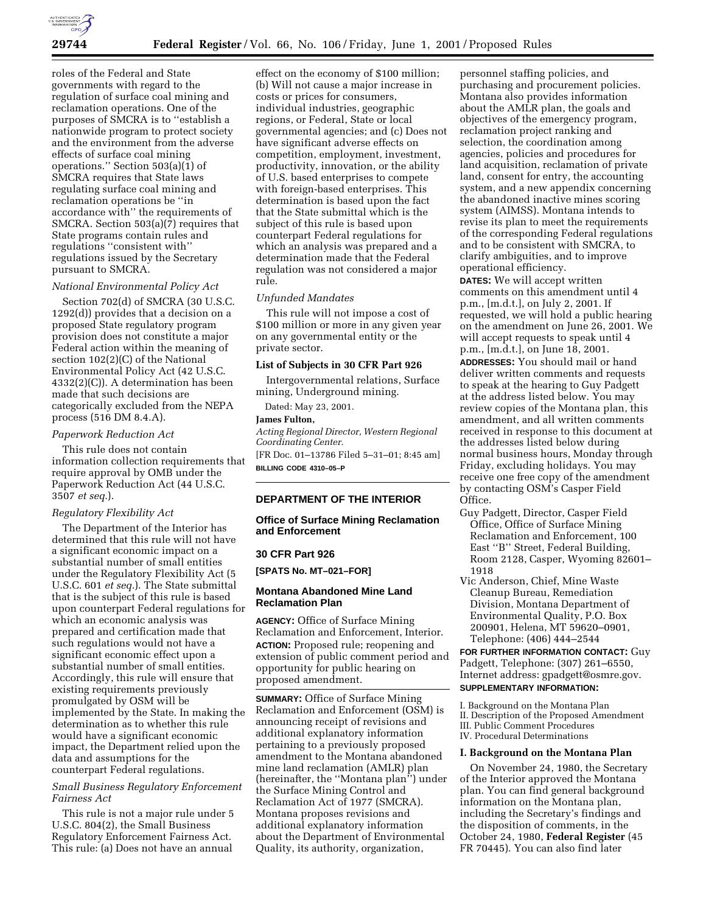

roles of the Federal and State governments with regard to the regulation of surface coal mining and reclamation operations. One of the purposes of SMCRA is to ''establish a nationwide program to protect society and the environment from the adverse effects of surface coal mining operations.'' Section 503(a)(1) of SMCRA requires that State laws regulating surface coal mining and reclamation operations be ''in accordance with'' the requirements of SMCRA. Section 503(a)(7) requires that State programs contain rules and regulations ''consistent with'' regulations issued by the Secretary pursuant to SMCRA.

## *National Environmental Policy Act*

Section 702(d) of SMCRA (30 U.S.C. 1292(d)) provides that a decision on a proposed State regulatory program provision does not constitute a major Federal action within the meaning of section 102(2)(C) of the National Environmental Policy Act (42 U.S.C. 4332(2)(C)). A determination has been made that such decisions are categorically excluded from the NEPA process (516 DM 8.4.A).

#### *Paperwork Reduction Act*

This rule does not contain information collection requirements that require approval by OMB under the Paperwork Reduction Act (44 U.S.C. 3507 *et seq.*).

#### *Regulatory Flexibility Act*

The Department of the Interior has determined that this rule will not have a significant economic impact on a substantial number of small entities under the Regulatory Flexibility Act (5 U.S.C. 601 *et seq.*). The State submittal that is the subject of this rule is based upon counterpart Federal regulations for which an economic analysis was prepared and certification made that such regulations would not have a significant economic effect upon a substantial number of small entities. Accordingly, this rule will ensure that existing requirements previously promulgated by OSM will be implemented by the State. In making the determination as to whether this rule would have a significant economic impact, the Department relied upon the data and assumptions for the counterpart Federal regulations.

# *Small Business Regulatory Enforcement Fairness Act*

This rule is not a major rule under 5 U.S.C. 804(2), the Small Business Regulatory Enforcement Fairness Act. This rule: (a) Does not have an annual

effect on the economy of \$100 million; (b) Will not cause a major increase in costs or prices for consumers, individual industries, geographic regions, or Federal, State or local governmental agencies; and (c) Does not have significant adverse effects on competition, employment, investment, productivity, innovation, or the ability of U.S. based enterprises to compete with foreign-based enterprises. This determination is based upon the fact that the State submittal which is the subject of this rule is based upon counterpart Federal regulations for which an analysis was prepared and a determination made that the Federal regulation was not considered a major rule.

#### *Unfunded Mandates*

This rule will not impose a cost of \$100 million or more in any given year on any governmental entity or the private sector.

### **List of Subjects in 30 CFR Part 926**

Intergovernmental relations, Surface mining, Underground mining.

Dated: May 23, 2001.

## **James Fulton,**

*Acting Regional Director, Western Regional Coordinating Center.* [FR Doc. 01–13786 Filed 5–31–01; 8:45 am]

**BILLING CODE 4310–05–P**

# **DEPARTMENT OF THE INTERIOR**

**Office of Surface Mining Reclamation and Enforcement**

#### **30 CFR Part 926**

**[SPATS No. MT–021–FOR]**

## **Montana Abandoned Mine Land Reclamation Plan**

**AGENCY:** Office of Surface Mining Reclamation and Enforcement, Interior. **ACTION:** Proposed rule; reopening and extension of public comment period and opportunity for public hearing on proposed amendment.

**SUMMARY:** Office of Surface Mining Reclamation and Enforcement (OSM) is announcing receipt of revisions and additional explanatory information pertaining to a previously proposed amendment to the Montana abandoned mine land reclamation (AMLR) plan (hereinafter, the ''Montana plan'') under the Surface Mining Control and Reclamation Act of 1977 (SMCRA). Montana proposes revisions and additional explanatory information about the Department of Environmental Quality, its authority, organization,

personnel staffing policies, and purchasing and procurement policies. Montana also provides information about the AMLR plan, the goals and objectives of the emergency program, reclamation project ranking and selection, the coordination among agencies, policies and procedures for land acquisition, reclamation of private land, consent for entry, the accounting system, and a new appendix concerning the abandoned inactive mines scoring system (AIMSS). Montana intends to revise its plan to meet the requirements of the corresponding Federal regulations and to be consistent with SMCRA, to clarify ambiguities, and to improve operational efficiency.

**DATES:** We will accept written comments on this amendment until 4 p.m., [m.d.t.], on July 2, 2001. If requested, we will hold a public hearing on the amendment on June 26, 2001. We will accept requests to speak until 4 p.m., [m.d.t.], on June 18, 2001. **ADDRESSES:** You should mail or hand deliver written comments and requests to speak at the hearing to Guy Padgett at the address listed below. You may review copies of the Montana plan, this amendment, and all written comments received in response to this document at the addresses listed below during normal business hours, Monday through Friday, excluding holidays. You may receive one free copy of the amendment by contacting OSM's Casper Field Office.

- Guy Padgett, Director, Casper Field Office, Office of Surface Mining Reclamation and Enforcement, 100 East ''B'' Street, Federal Building, Room 2128, Casper, Wyoming 82601– 1918
- Vic Anderson, Chief, Mine Waste Cleanup Bureau, Remediation Division, Montana Department of Environmental Quality, P.O. Box 200901, Helena, MT 59620–0901, Telephone: (406) 444–2544

**FOR FURTHER INFORMATION CONTACT:** Guy Padgett, Telephone: (307) 261–6550, Internet address: gpadgett@osmre.gov. **SUPPLEMENTARY INFORMATION:**

I. Background on the Montana Plan II. Description of the Proposed Amendment III. Public Comment Procedures IV. Procedural Determinations

## **I. Background on the Montana Plan**

On November 24, 1980, the Secretary of the Interior approved the Montana plan. You can find general background information on the Montana plan, including the Secretary's findings and the disposition of comments, in the October 24, 1980, **Federal Register** (45 FR 70445). You can also find later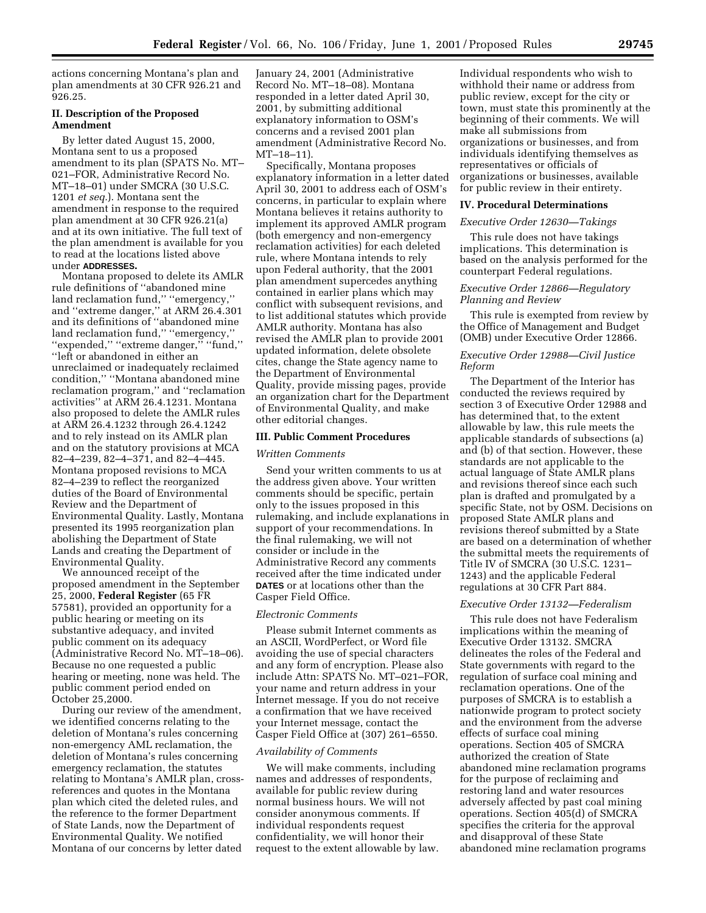actions concerning Montana's plan and plan amendments at 30 CFR 926.21 and 926.25.

# **II. Description of the Proposed Amendment**

By letter dated August 15, 2000, Montana sent to us a proposed amendment to its plan (SPATS No. MT– 021–FOR, Administrative Record No. MT–18–01) under SMCRA (30 U.S.C. 1201 *et seq.*). Montana sent the amendment in response to the required plan amendment at 30 CFR 926.21(a) and at its own initiative. The full text of the plan amendment is available for you to read at the locations listed above under **ADDRESSES.**

Montana proposed to delete its AMLR rule definitions of ''abandoned mine land reclamation fund,'' ''emergency,'' and ''extreme danger,'' at ARM 26.4.301 and its definitions of ''abandoned mine land reclamation fund," "emergency," "expended," "extreme danger," "fund," ''left or abandoned in either an unreclaimed or inadequately reclaimed condition,'' ''Montana abandoned mine reclamation program,'' and ''reclamation activities'' at ARM 26.4.1231. Montana also proposed to delete the AMLR rules at ARM 26.4.1232 through 26.4.1242 and to rely instead on its AMLR plan and on the statutory provisions at MCA 82–4–239, 82–4–371, and 82–4–445. Montana proposed revisions to MCA 82–4–239 to reflect the reorganized duties of the Board of Environmental Review and the Department of Environmental Quality. Lastly, Montana presented its 1995 reorganization plan abolishing the Department of State Lands and creating the Department of Environmental Quality.

We announced receipt of the proposed amendment in the September 25, 2000, **Federal Register** (65 FR 57581), provided an opportunity for a public hearing or meeting on its substantive adequacy, and invited public comment on its adequacy (Administrative Record No. MT–18–06). Because no one requested a public hearing or meeting, none was held. The public comment period ended on October 25,2000.

During our review of the amendment, we identified concerns relating to the deletion of Montana's rules concerning non-emergency AML reclamation, the deletion of Montana's rules concerning emergency reclamation, the statutes relating to Montana's AMLR plan, crossreferences and quotes in the Montana plan which cited the deleted rules, and the reference to the former Department of State Lands, now the Department of Environmental Quality. We notified Montana of our concerns by letter dated

January 24, 2001 (Administrative Record No. MT–18–08). Montana responded in a letter dated April 30, 2001, by submitting additional explanatory information to OSM's concerns and a revised 2001 plan amendment (Administrative Record No. MT–18–11).

Specifically, Montana proposes explanatory information in a letter dated April 30, 2001 to address each of OSM's concerns, in particular to explain where Montana believes it retains authority to implement its approved AMLR program (both emergency and non-emergency reclamation activities) for each deleted rule, where Montana intends to rely upon Federal authority, that the 2001 plan amendment supercedes anything contained in earlier plans which may conflict with subsequent revisions, and to list additional statutes which provide AMLR authority. Montana has also revised the AMLR plan to provide 2001 updated information, delete obsolete cites, change the State agency name to the Department of Environmental Quality, provide missing pages, provide an organization chart for the Department of Environmental Quality, and make other editorial changes.

#### **III. Public Comment Procedures**

#### *Written Comments*

Send your written comments to us at the address given above. Your written comments should be specific, pertain only to the issues proposed in this rulemaking, and include explanations in support of your recommendations. In the final rulemaking, we will not consider or include in the Administrative Record any comments received after the time indicated under **DATES** or at locations other than the Casper Field Office.

#### *Electronic Comments*

Please submit Internet comments as an ASCII, WordPerfect, or Word file avoiding the use of special characters and any form of encryption. Please also include Attn: SPATS No. MT–021–FOR, your name and return address in your Internet message. If you do not receive a confirmation that we have received your Internet message, contact the Casper Field Office at (307) 261–6550.

## *Availability of Comments*

We will make comments, including names and addresses of respondents, available for public review during normal business hours. We will not consider anonymous comments. If individual respondents request confidentiality, we will honor their request to the extent allowable by law. Individual respondents who wish to withhold their name or address from public review, except for the city or town, must state this prominently at the beginning of their comments. We will make all submissions from organizations or businesses, and from individuals identifying themselves as representatives or officials of organizations or businesses, available for public review in their entirety.

#### **IV. Procedural Determinations**

## *Executive Order 12630—Takings*

This rule does not have takings implications. This determination is based on the analysis performed for the counterpart Federal regulations.

## *Executive Order 12866—Regulatory Planning and Review*

This rule is exempted from review by the Office of Management and Budget (OMB) under Executive Order 12866.

## *Executive Order 12988—Civil Justice Reform*

The Department of the Interior has conducted the reviews required by section 3 of Executive Order 12988 and has determined that, to the extent allowable by law, this rule meets the applicable standards of subsections (a) and (b) of that section. However, these standards are not applicable to the actual language of State AMLR plans and revisions thereof since each such plan is drafted and promulgated by a specific State, not by OSM. Decisions on proposed State AMLR plans and revisions thereof submitted by a State are based on a determination of whether the submittal meets the requirements of Title IV of SMCRA (30 U.S.C. 1231– 1243) and the applicable Federal regulations at 30 CFR Part 884.

#### *Executive Order 13132—Federalism*

This rule does not have Federalism implications within the meaning of Executive Order 13132. SMCRA delineates the roles of the Federal and State governments with regard to the regulation of surface coal mining and reclamation operations. One of the purposes of SMCRA is to establish a nationwide program to protect society and the environment from the adverse effects of surface coal mining operations. Section 405 of SMCRA authorized the creation of State abandoned mine reclamation programs for the purpose of reclaiming and restoring land and water resources adversely affected by past coal mining operations. Section 405(d) of SMCRA specifies the criteria for the approval and disapproval of these State abandoned mine reclamation programs